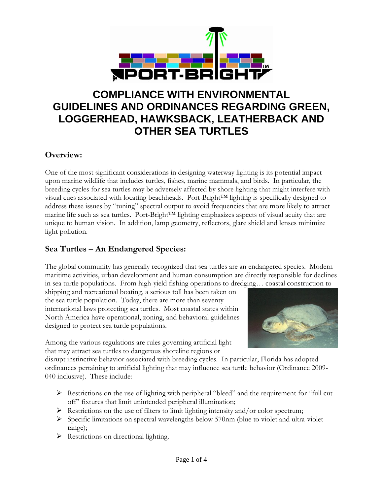

# **COMPLIANCE WITH ENVIRONMENTAL GUIDELINES AND ORDINANCES REGARDING GREEN, LOGGERHEAD, HAWKSBACK, LEATHERBACK AND OTHER SEA TURTLES**

#### **Overview:**

One of the most significant considerations in designing waterway lighting is its potential impact upon marine wildlife that includes turtles, fishes, marine mammals, and birds. In particular, the breeding cycles for sea turtles may be adversely affected by shore lighting that might interfere with visual cues associated with locating beachheads. Port-Bright™ lighting is specifically designed to address these issues by "tuning" spectral output to avoid frequencies that are more likely to attract marine life such as sea turtles. Port-Bright™ lighting emphasizes aspects of visual acuity that are unique to human vision. In addition, lamp geometry, reflectors, glare shield and lenses minimize light pollution.

#### **Sea Turtles – An Endangered Species:**

The global community has generally recognized that sea turtles are an endangered species. Modern maritime activities, urban development and human consumption are directly responsible for declines in sea turtle populations. From high-yield fishing operations to dredging… coastal construction to

shipping and recreational boating, a serious toll has been taken on the sea turtle population. Today, there are more than seventy international laws protecting sea turtles. Most coastal states within North America have operational, zoning, and behavioral guidelines designed to protect sea turtle populations.

Among the various regulations are rules governing artificial light that may attract sea turtles to dangerous shoreline regions or



disrupt instinctive behavior associated with breeding cycles. In particular, Florida has adopted ordinances pertaining to artificial lighting that may influence sea turtle behavior (Ordinance 2009- 040 inclusive). These include:

- $\triangleright$  Restrictions on the use of lighting with peripheral "bleed" and the requirement for "full cutoff" fixtures that limit unintended peripheral illumination;
- $\triangleright$  Restrictions on the use of filters to limit lighting intensity and/or color spectrum;
- ¾ Specific limitations on spectral wavelengths below 570nm (blue to violet and ultra-violet range);
- $\triangleright$  Restrictions on directional lighting.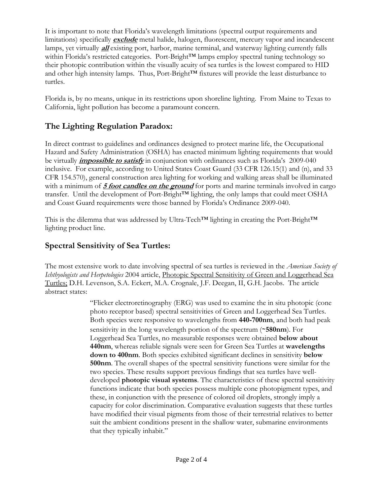It is important to note that Florida's wavelength limitations (spectral output requirements and limitations) specifically **exclude** metal halide, halogen, fluorescent, mercury vapor and incandescent lamps, yet virtually **all** existing port, harbor, marine terminal, and waterway lighting currently falls within Florida's restricted categories. Port-Bright™ lamps employ spectral tuning technology so their photopic contribution within the visually acuity of sea turtles is the lowest compared to HID and other high intensity lamps. Thus, Port-Bright™ fixtures will provide the least disturbance to turtles.

Florida is, by no means, unique in its restrictions upon shoreline lighting. From Maine to Texas to California, light pollution has become a paramount concern.

### **The Lighting Regulation Paradox:**

In direct contrast to guidelines and ordinances designed to protect marine life, the Occupational Hazard and Safety Administration (OSHA) has enacted minimum lighting requirements that would be virtually **impossible to satisfy** in conjunction with ordinances such as Florida's 2009-040 inclusive. For example, according to United States Coast Guard (33 CFR 126.15(1) and (n), and 33 CFR 154.570), general construction area lighting for working and walking areas shall be illuminated with a minimum of **5 foot candles on the ground** for ports and marine terminals involved in cargo transfer. Until the development of Port-Bright $T^M$  lighting, the only lamps that could meet OSHA and Coast Guard requirements were those banned by Florida's Ordinance 2009-040.

This is the dilemma that was addressed by Ultra-Tech™ lighting in creating the Port-Bright™ lighting product line.

#### **Spectral Sensitivity of Sea Turtles:**

The most extensive work to date involving spectral of sea turtles is reviewed in the *American Society of Ichthyologists and Herpetologies* 2004 article, Photopic Spectral Sensitivity of Green and Loggerhead Sea Turtles; D.H. Levenson, S.A. Eckert, M.A. Crognale, J.F. Deegan, II, G.H. Jacobs. The article abstract states:

> "Flicker electroretinography (ERG) was used to examine the in situ photopic (cone photo receptor based) spectral sensitivities of Green and Loggerhead Sea Turtles. Both species were responsive to wavelengths from **440-700nm**, and both had peak sensitivity in the long wavelength portion of the spectrum (∼**580nm**). For Loggerhead Sea Turtles, no measurable responses were obtained **below about 440nm**, whereas reliable signals were seen for Green Sea Turtles at **wavelengths down to 400nm**. Both species exhibited significant declines in sensitivity **below 500nm**. The overall shapes of the spectral sensitivity functions were similar for the two species. These results support previous findings that sea turtles have welldeveloped **photopic visual systems**. The characteristics of these spectral sensitivity functions indicate that both species possess multiple cone photopigment types, and these, in conjunction with the presence of colored oil droplets, strongly imply a capacity for color discrimination. Comparative evaluation suggests that these turtles have modified their visual pigments from those of their terrestrial relatives to better suit the ambient conditions present in the shallow water, submarine environments that they typically inhabit."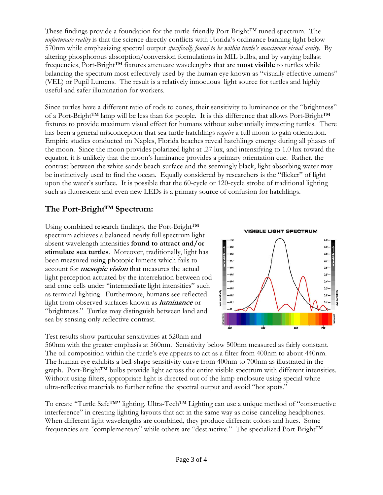These findings provide a foundation for the turtle-friendly Port-Bright™ tuned spectrum. The *unfortunate reality* is that the science directly conflicts with Florida's ordinance banning light below 570nm while emphasizing spectral output *specifically found to be within turtle's maximum visual acuity.* By altering phosphorous absorption/conversion formulations in MIL bulbs, and by varying ballast frequencies, Port-Bright™ fixtures attenuate wavelengths that are **most visible** to turtles while balancing the spectrum most effectively used by the human eye known as "visually effective lumens" (VEL) or Pupil Lumens. The result is a relatively innocuous light source for turtles and highly useful and safer illumination for workers.

Since turtles have a different ratio of rods to cones, their sensitivity to luminance or the "brightness" of a Port-Bright™ lamp will be less than for people. It is this difference that allows Port-Bright™ fixtures to provide maximum visual effect for humans without substantially impacting turtles. There has been a general misconception that sea turtle hatchlings *require* a full moon to gain orientation. Empiric studies conducted on Naples, Florida beaches reveal hatchlings emerge during all phases of the moon. Since the moon provides polarized light at .27 lux, and intensifying to 1.0 lux toward the equator, it is unlikely that the moon's luminance provides a primary orientation cue. Rather, the contrast between the white sandy beach surface and the seemingly black, light absorbing water may be instinctively used to find the ocean. Equally considered by researchers is the "flicker" of light upon the water's surface. It is possible that the 60-cycle or 120-cycle strobe of traditional lighting such as fluorescent and even new LEDs is a primary source of confusion for hatchlings.

### **The Port-Bright™ Spectrum:**

Using combined research findings, the Port-Bright™ spectrum achieves a balanced nearly full spectrum light absent wavelength intensities **found to attract and/or stimulate sea turtles**. Moreover, traditionally, light has been measured using photopic lumens which fails to account for **mesopic vision** that measures the actual light perception actuated by the interrelation between rod and cone cells under "intermediate light intensities" such as terminal lighting. Furthermore, humans see reflected light from observed surfaces known as **luminance** or "brightness." Turtles may distinguish between land and sea by sensing only reflective contrast.

Test results show particular sensitivities at 520nm and



560nm with the greater emphasis at 560nm. Sensitivity below 500nm measured as fairly constant. The oil composition within the turtle's eye appears to act as a filter from 400nm to about 440nm. The human eye exhibits a bell-shape sensitivity curve from 400nm to 700nm as illustrated in the graph. Port-Bright™ bulbs provide light across the entire visible spectrum with different intensities. Without using filters, appropriate light is directed out of the lamp enclosure using special white ultra-reflective materials to further refine the spectral output and avoid "hot spots."

To create "Turtle Safe™" lighting, Ultra-Tech™ Lighting can use a unique method of "constructive interference" in creating lighting layouts that act in the same way as noise-canceling headphones. When different light wavelengths are combined, they produce different colors and hues. Some frequencies are "complementary" while others are "destructive." The specialized Port-Bright™